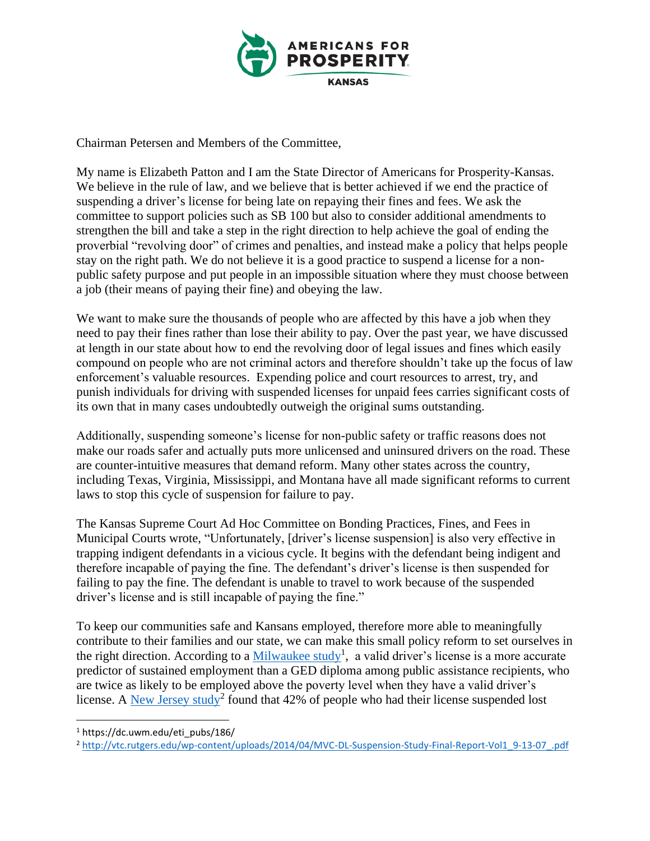

Chairman Petersen and Members of the Committee,

My name is Elizabeth Patton and I am the State Director of Americans for Prosperity-Kansas. We believe in the rule of law, and we believe that is better achieved if we end the practice of suspending a driver's license for being late on repaying their fines and fees. We ask the committee to support policies such as SB 100 but also to consider additional amendments to strengthen the bill and take a step in the right direction to help achieve the goal of ending the proverbial "revolving door" of crimes and penalties, and instead make a policy that helps people stay on the right path. We do not believe it is a good practice to suspend a license for a nonpublic safety purpose and put people in an impossible situation where they must choose between a job (their means of paying their fine) and obeying the law.

We want to make sure the thousands of people who are affected by this have a job when they need to pay their fines rather than lose their ability to pay. Over the past year, we have discussed at length in our state about how to end the revolving door of legal issues and fines which easily compound on people who are not criminal actors and therefore shouldn't take up the focus of law enforcement's valuable resources. Expending police and court resources to arrest, try, and punish individuals for driving with suspended licenses for unpaid fees carries significant costs of its own that in many cases undoubtedly outweigh the original sums outstanding.

Additionally, suspending someone's license for non-public safety or traffic reasons does not make our roads safer and actually puts more unlicensed and uninsured drivers on the road. These are counter-intuitive measures that demand reform. Many other states across the country, including Texas, Virginia, Mississippi, and Montana have all made significant reforms to current laws to stop this cycle of suspension for failure to pay.

The Kansas Supreme Court Ad Hoc Committee on Bonding Practices, Fines, and Fees in Municipal Courts wrote, "Unfortunately, [driver's license suspension] is also very effective in trapping indigent defendants in a vicious cycle. It begins with the defendant being indigent and therefore incapable of paying the fine. The defendant's driver's license is then suspended for failing to pay the fine. The defendant is unable to travel to work because of the suspended driver's license and is still incapable of paying the fine."

To keep our communities safe and Kansans employed, therefore more able to meaningfully contribute to their families and our state, we can make this small policy reform to set ourselves in the right direction. According to a  $M$ ilwaukee study<sup>1</sup>, a valid driver's license is a more accurate predictor of sustained employment than a GED diploma among public assistance recipients, who are twice as likely to be employed above the poverty level when they have a valid driver's license. A [New Jersey study](https://www.nj.gov/transportation/refdata/research/reports/FHWA-NJ-2007-020-V1.pdf)<sup>2</sup> found that 42% of people who had their license suspended lost

<sup>1</sup> https://dc.uwm.edu/eti\_pubs/186/

<sup>2</sup> [http://vtc.rutgers.edu/wp-content/uploads/2014/04/MVC-DL-Suspension-Study-Final-Report-Vol1\\_9-13-07\\_.pdf](http://vtc.rutgers.edu/wp-content/uploads/2014/04/MVC-DL-Suspension-Study-Final-Report-Vol1_9-13-07_.pdf)